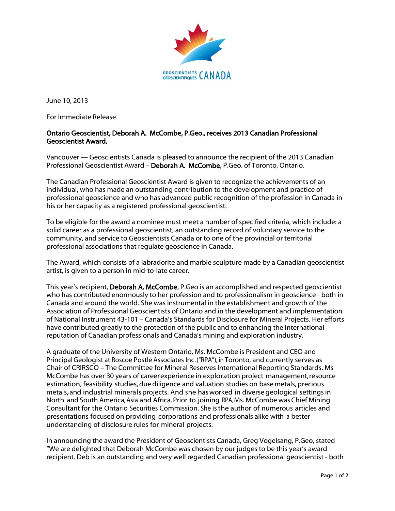

June 10, 2013

For Immediate Release

## Ontario Geoscientist, Deborah A. McCombe, P.Geo., receives 2013 Canadian Professional Geoscientist Award.

Vancouver — Geoscientists Canada is pleased to announce the recipient of the 2013 Canadian Professional Geoscientist Award – Deborah A. McCombe, P.Geo. of Toronto, Ontario.

The Canadian Professional Geoscientist Award is given to recognize the achievements of an individual, who has made an outstanding contribution to the development and practice of professional geoscience and who has advanced public recognition of the profession in Canada in his or her capacity as a registered professional geoscientist.

To be eligible for the award a nominee must meet a number of specified criteria, which include: a solid career as a professional geoscientist, an outstanding record of voluntary service to the community, and service to Geoscientists Canada or to one of the provincial or territorial professional associations that regulate geoscience in Canada.

The Award, which consists of a labradorite and marble sculpture made by a Canadian geoscientist artist, is given to a person in mid-to-late career.

This year's recipient, Deborah A. McCombe, P.Geo is an accomplished and respected geoscientist who has contributed enormously to her profession and to professionalism in geoscience - both in Canada and around the world. She was instrumental in the establishment and growth of the Association of Professional Geoscientists of Ontario and in the development and implementation of National Instrument 43-101 – Canada's Standards for Disclosure for Mineral Projects. Her efforts have contributed greatly to the protection of the public and to enhancing the international reputation of Canadian professionals and Canada's mining and exploration industry.

A graduate of the University of Western Ontario, Ms. McCombe is President and CEO and PrincipalGeologist at Roscoe PostleAssociates Inc.("RPA"), in Toronto, and currently serves as Chair of CRIRSCO – The Committee for Mineral Reserves International Reporting Standards. Ms McCombe has over 30 years of careerexperience in exploration project management,resource estimation, feasibility studies, due diligence and valuation studies on base metals, precious metals, and industrial minerals projects. And she has worked in diverse geological settings in North and South America, Asia and Africa. Prior to joining RPA, Ms. McCombe was Chief Mining Consultant for the Ontario Securities Commission. She is the author of numerous articles and presentations focused on providing corporations and professionals alike with a better understanding of disclosure rules for mineral projects.

In announcing the award the President of Geoscientists Canada, Greg Vogelsang, P.Geo, stated "We are delighted that Deborah McCombe was chosen by our judges to be this year's award recipient. Deb is an outstanding and very well regarded Canadian professional geoscientist - both